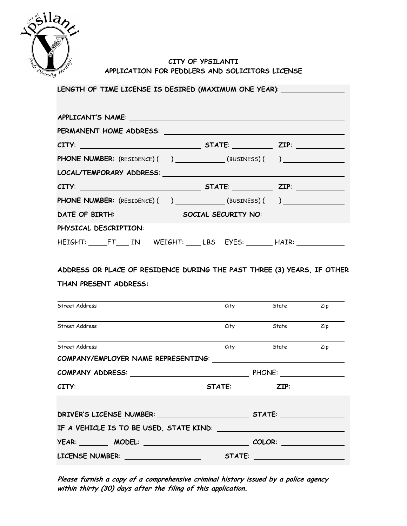

## **CITY OF YPSILANTI APPLICATION FOR PEDDLERS AND SOLICITORS LICENSE**

| APPLICANT'S NAME:                                                                                                                                                                                                              |  |  |  |  |
|--------------------------------------------------------------------------------------------------------------------------------------------------------------------------------------------------------------------------------|--|--|--|--|
|                                                                                                                                                                                                                                |  |  |  |  |
| $CITY:$ $ZIP:$                                                                                                                                                                                                                 |  |  |  |  |
| <b>PHONE NUMBER:</b> (RESIDENCE) ( ) _______________(BUSINESS) ( ) ___________________                                                                                                                                         |  |  |  |  |
| LOCAL/TEMPORARY ADDRESS: University of the contract of the contract of the contract of the contract of the contract of the contract of the contract of the contract of the contract of the contract of the contract of the con |  |  |  |  |
| $CITY:$ $ZIP:$                                                                                                                                                                                                                 |  |  |  |  |
| <b>PHONE NUMBER:</b> (RESIDENCE) ( ) _______________(BUSINESS) ( ) ___________________                                                                                                                                         |  |  |  |  |
| DATE OF BIRTH: SOCIAL SECURITY NO:                                                                                                                                                                                             |  |  |  |  |
| PHYSICAL DESCRIPTION:                                                                                                                                                                                                          |  |  |  |  |
| HEIGHT: FT____ IN WEIGHT: ____ LBS EYES: ________ HAIR: ________________________                                                                                                                                               |  |  |  |  |

**ADDRESS OR PLACE OF RESIDENCE DURING THE PAST THREE (3) YEARS, IF OTHER THAN PRESENT ADDRESS:**

| Street Address                                                                                                                                                                                                                      | City   | <b>State</b>            | Zip |
|-------------------------------------------------------------------------------------------------------------------------------------------------------------------------------------------------------------------------------------|--------|-------------------------|-----|
| Street Address                                                                                                                                                                                                                      |        | City State              | Zip |
| Street Address                                                                                                                                                                                                                      |        | City State              | Zip |
| COMPANY/EMPLOYER NAME REPRESENTING: University of the state of the state of the state of the state of the state of the state of the state of the state of the state of the state of the state of the state of the state of the      |        |                         |     |
| COMPANY ADDRESS: PHONE: PHONE:                                                                                                                                                                                                      |        |                         |     |
|                                                                                                                                                                                                                                     |        | <b>STATE: ZIP: ZIP:</b> |     |
|                                                                                                                                                                                                                                     |        |                         |     |
| IF A VEHICLE IS TO BE USED, STATE KIND:                                                                                                                                                                                             |        |                         |     |
| <b>YEAR:</b> MODEL: WORK NOT A MODEL AND A VEHICLE AND A VEHICLE AND A VEHICLE AND A VEHICLE AND A VEHICLE AND A VEHICLE AND A VEHICLE AND A VEHICLE AND A VEHICLE AND A VEHICLE AND A VEHICLE AND A VEHICLE AND A VEHICLE AND A VE |        | <b>COLOR:</b>           |     |
| LICENSE NUMBER: University of the UK of the UK of the UK of the UK of the UK of the UK of the UK of the UK of the UK of the UK of the UK of the UK of the UK of the UK of the UK of the UK of the UK of the UK of the UK of th      | STATE: |                         |     |

**Please furnish a copy of a comprehensive criminal history issued by a police agency within thirty (30) days after the filing of this application.**